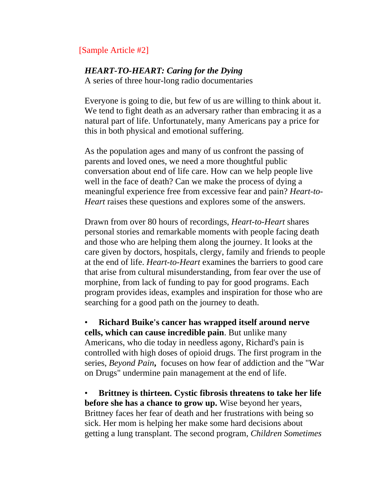## [Sample Article #2]

## *HEART-TO-HEART: Caring for the Dying*

A series of three hour-long radio documentaries

Everyone is going to die, but few of us are willing to think about it. We tend to fight death as an adversary rather than embracing it as a natural part of life. Unfortunately, many Americans pay a price for this in both physical and emotional suffering.

As the population ages and many of us confront the passing of parents and loved ones, we need a more thoughtful public conversation about end of life care. How can we help people live well in the face of death? Can we make the process of dying a meaningful experience free from excessive fear and pain? *Heart-to-Heart* raises these questions and explores some of the answers.

Drawn from over 80 hours of recordings, *Heart-to-Heart* shares personal stories and remarkable moments with people facing death and those who are helping them along the journey. It looks at the care given by doctors, hospitals, clergy, family and friends to people at the end of life. *Heart-to-Heart* examines the barriers to good care that arise from cultural misunderstanding, from fear over the use of morphine, from lack of funding to pay for good programs. Each program provides ideas, examples and inspiration for those who are searching for a good path on the journey to death.

• **Richard Buike's cancer has wrapped itself around nerve cells, which can cause incredible pain**. But unlike many Americans, who die today in needless agony, Richard's pain is controlled with high doses of opioid drugs. The first program in the series, *Beyond Pain***,** focuses on how fear of addiction and the "War on Drugs" undermine pain management at the end of life.

• **Brittney is thirteen. Cystic fibrosis threatens to take her life before she has a chance to grow up.** Wise beyond her years, Brittney faces her fear of death and her frustrations with being so sick. Her mom is helping her make some hard decisions about getting a lung transplant. The second program, *Children Sometimes*